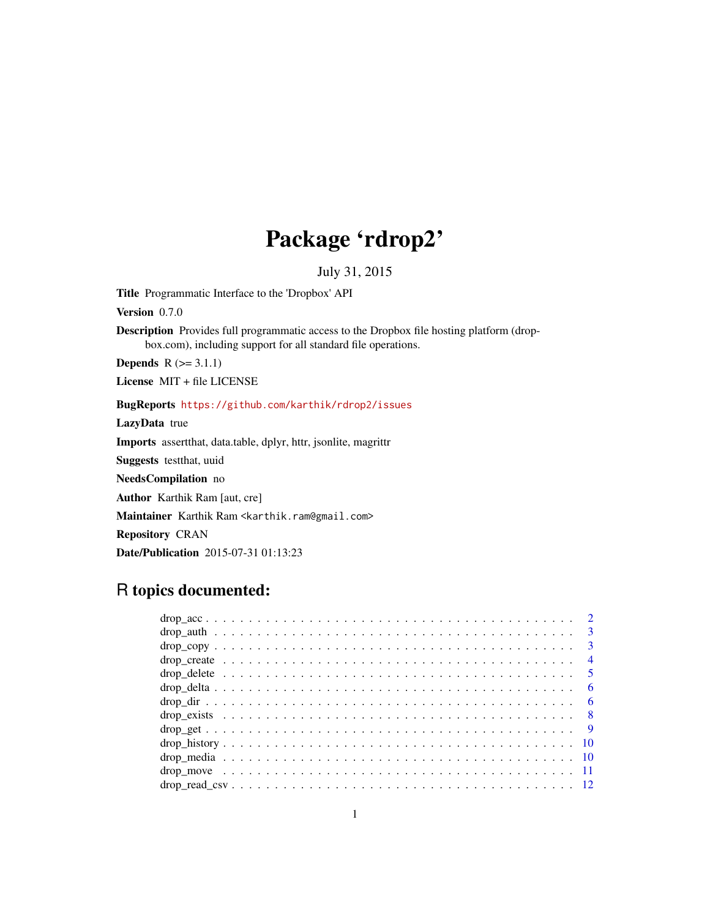# Package 'rdrop2'

July 31, 2015

Title Programmatic Interface to the 'Dropbox' API

Version 0.7.0

Description Provides full programmatic access to the Dropbox file hosting platform (dropbox.com), including support for all standard file operations.

**Depends**  $R$  ( $>= 3.1.1$ )

License MIT + file LICENSE

### BugReports <https://github.com/karthik/rdrop2/issues>

LazyData true

Imports assertthat, data.table, dplyr, httr, jsonlite, magrittr

Suggests testthat, uuid

NeedsCompilation no

Author Karthik Ram [aut, cre]

Maintainer Karthik Ram <karthik.ram@gmail.com>

Repository CRAN

Date/Publication 2015-07-31 01:13:23

# R topics documented:

|  |  |  |  |  |  |  |  |  |  |  |  |  |  |  |  |  |  |  |  |  | $\overline{4}$ |
|--|--|--|--|--|--|--|--|--|--|--|--|--|--|--|--|--|--|--|--|--|----------------|
|  |  |  |  |  |  |  |  |  |  |  |  |  |  |  |  |  |  |  |  |  |                |
|  |  |  |  |  |  |  |  |  |  |  |  |  |  |  |  |  |  |  |  |  | - 6            |
|  |  |  |  |  |  |  |  |  |  |  |  |  |  |  |  |  |  |  |  |  | - 6            |
|  |  |  |  |  |  |  |  |  |  |  |  |  |  |  |  |  |  |  |  |  |                |
|  |  |  |  |  |  |  |  |  |  |  |  |  |  |  |  |  |  |  |  |  |                |
|  |  |  |  |  |  |  |  |  |  |  |  |  |  |  |  |  |  |  |  |  |                |
|  |  |  |  |  |  |  |  |  |  |  |  |  |  |  |  |  |  |  |  |  |                |
|  |  |  |  |  |  |  |  |  |  |  |  |  |  |  |  |  |  |  |  |  |                |
|  |  |  |  |  |  |  |  |  |  |  |  |  |  |  |  |  |  |  |  |  |                |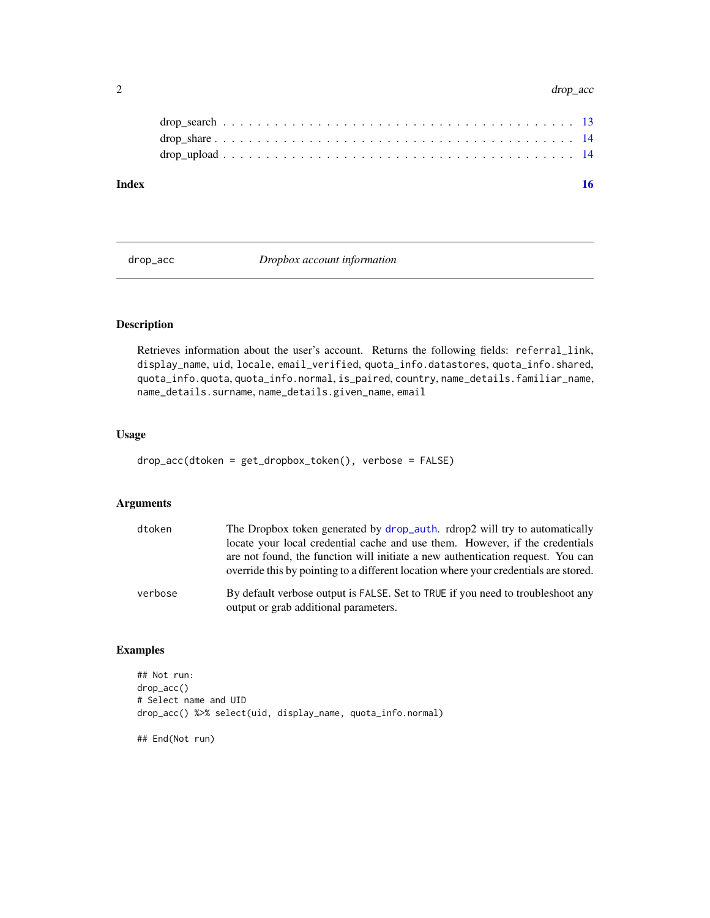#### <span id="page-1-0"></span>2 drop\_acc

| Index |  |
|-------|--|
|       |  |
|       |  |
|       |  |
|       |  |

drop\_acc *Dropbox account information*

# Description

Retrieves information about the user's account. Returns the following fields: referral\_link, display\_name, uid, locale, email\_verified, quota\_info.datastores, quota\_info.shared, quota\_info.quota, quota\_info.normal, is\_paired, country, name\_details.familiar\_name, name\_details.surname, name\_details.given\_name, email

#### Usage

```
drop_acc(dtoken = get_dropbox_token(), verbose = FALSE)
```
#### Arguments

| dtoken  | The Dropbox token generated by drop_auth. rdrop2 will try to automatically                                                                                              |
|---------|-------------------------------------------------------------------------------------------------------------------------------------------------------------------------|
|         | locate your local credential cache and use them. However, if the credentials                                                                                            |
|         | are not found, the function will initiate a new authentication request. You can<br>override this by pointing to a different location where your credentials are stored. |
| verbose | By default verbose output is FALSE. Set to TRUE if you need to troubleshoot any<br>output or grab additional parameters.                                                |

# Examples

```
## Not run:
drop_acc()
# Select name and UID
drop_acc() %>% select(uid, display_name, quota_info.normal)
## End(Not run)
```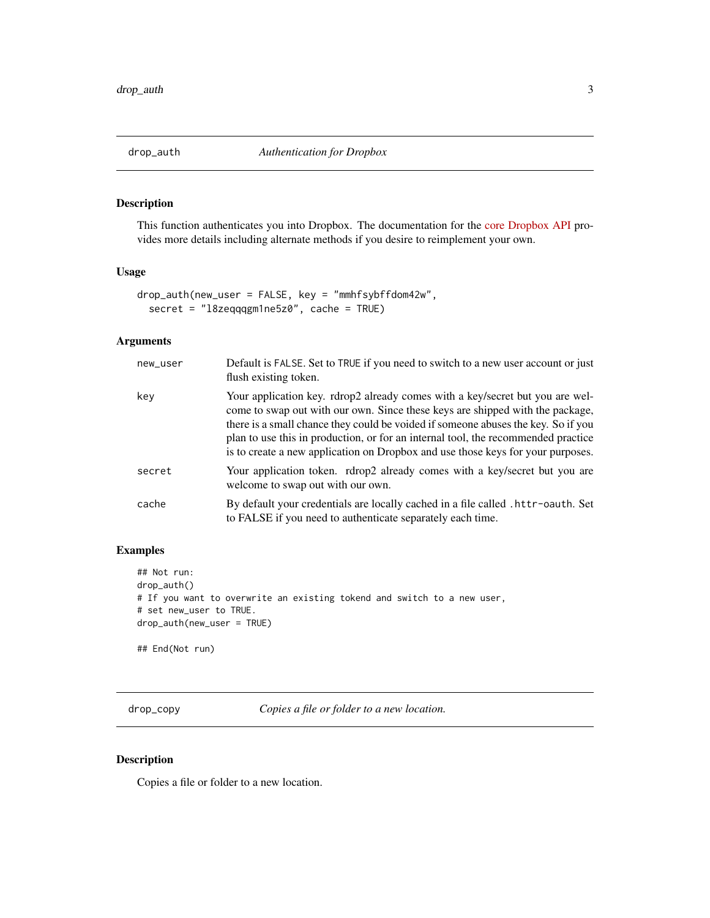<span id="page-2-1"></span><span id="page-2-0"></span>

This function authenticates you into Dropbox. The documentation for the [core Dropbox API](https://www.dropbox.com/developers/core/docs) provides more details including alternate methods if you desire to reimplement your own.

#### Usage

```
drop_auth(new_user = FALSE, key = "mmhfsybffdom42w",
  secret = "l8zeqqqgm1ne5z0", cache = TRUE)
```
#### Arguments

| new_user | Default is FALSE. Set to TRUE if you need to switch to a new user account or just<br>flush existing token.                                                                                                                                                                                                                                                                                                                  |
|----------|-----------------------------------------------------------------------------------------------------------------------------------------------------------------------------------------------------------------------------------------------------------------------------------------------------------------------------------------------------------------------------------------------------------------------------|
| key      | Your application key. rdrop2 already comes with a key/secret but you are wel-<br>come to swap out with our own. Since these keys are shipped with the package,<br>there is a small chance they could be voided if someone abuses the key. So if you<br>plan to use this in production, or for an internal tool, the recommended practice<br>is to create a new application on Dropbox and use those keys for your purposes. |
| secret   | Your application token. rdrop2 already comes with a key/secret but you are<br>welcome to swap out with our own.                                                                                                                                                                                                                                                                                                             |
| cache    | By default your credentials are locally cached in a file called .httr-oauth. Set<br>to FALSE if you need to authenticate separately each time.                                                                                                                                                                                                                                                                              |

#### Examples

```
## Not run:
drop_auth()
# If you want to overwrite an existing tokend and switch to a new user,
# set new_user to TRUE.
drop_auth(new_user = TRUE)
```
## End(Not run)

drop\_copy *Copies a file or folder to a new location.*

#### Description

Copies a file or folder to a new location.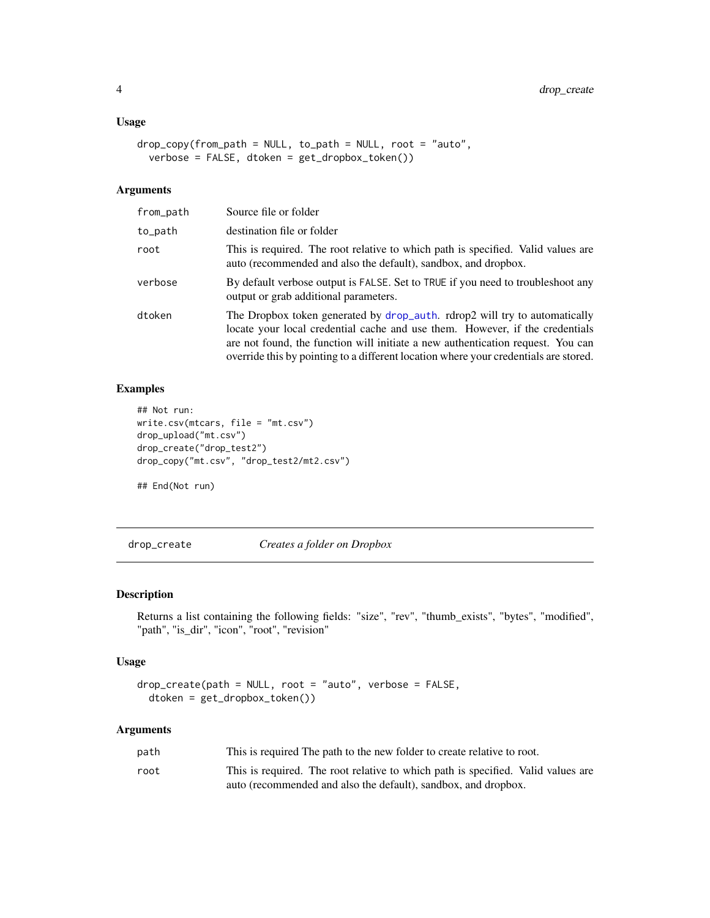#### <span id="page-3-0"></span>Usage

```
drop_copy(from_path = NULL, to_path = NULL, root = "auto",
 verbose = FALSE, dtoken = get_dropbox_token())
```
#### Arguments

| from_path | Source file or folder                                                                                                                                                                                                                                                                                                                 |
|-----------|---------------------------------------------------------------------------------------------------------------------------------------------------------------------------------------------------------------------------------------------------------------------------------------------------------------------------------------|
| to_path   | destination file or folder                                                                                                                                                                                                                                                                                                            |
| root      | This is required. The root relative to which path is specified. Valid values are<br>auto (recommended and also the default), sandbox, and dropbox.                                                                                                                                                                                    |
| verbose   | By default verbose output is FALSE. Set to TRUE if you need to troubleshoot any<br>output or grab additional parameters.                                                                                                                                                                                                              |
| dtoken    | The Dropbox token generated by drop_auth. rdrop2 will try to automatically<br>locate your local credential cache and use them. However, if the credentials<br>are not found, the function will initiate a new authentication request. You can<br>override this by pointing to a different location where your credentials are stored. |

#### Examples

```
## Not run:
write.csv(mtcars, file = "mt.csv")
drop_upload("mt.csv")
drop_create("drop_test2")
drop_copy("mt.csv", "drop_test2/mt2.csv")
```
## End(Not run)

drop\_create *Creates a folder on Dropbox*

#### Description

Returns a list containing the following fields: "size", "rev", "thumb\_exists", "bytes", "modified", "path", "is\_dir", "icon", "root", "revision"

#### Usage

```
drop\_create(path = NULL, root = "auto", verbose = FALSE,dtoken = get_dropbox_token())
```

| path | This is required The path to the new folder to create relative to root.          |
|------|----------------------------------------------------------------------------------|
| root | This is required. The root relative to which path is specified. Valid values are |
|      | auto (recommended and also the default), sandbox, and dropbox.                   |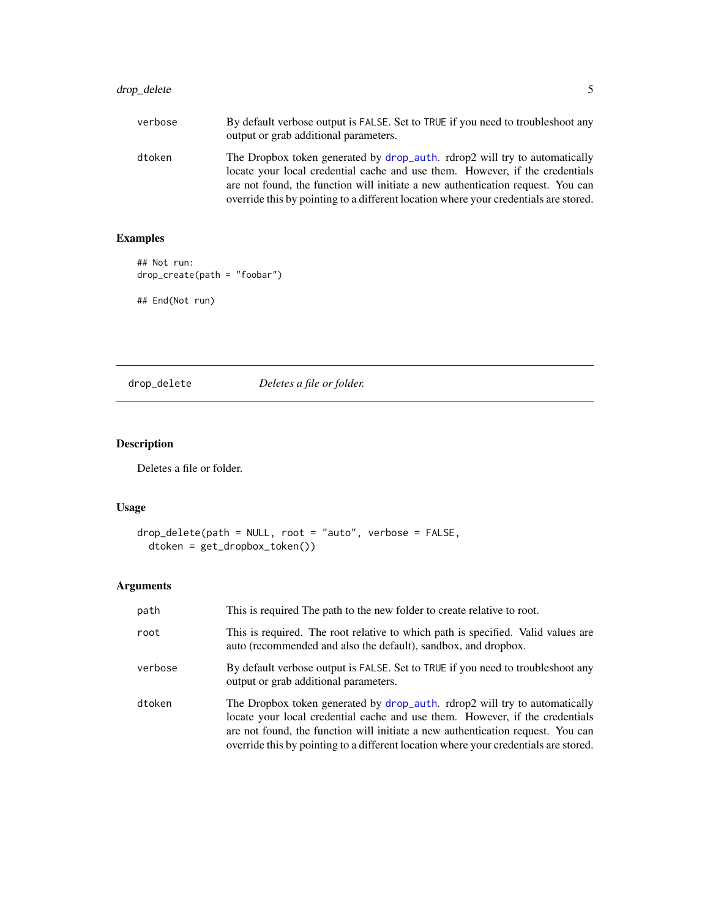# <span id="page-4-0"></span>drop\_delete 5

| verbose | By default verbose output is FALSE. Set to TRUE if you need to troubleshoot any<br>output or grab additional parameters.                                   |
|---------|------------------------------------------------------------------------------------------------------------------------------------------------------------|
| dtoken  | The Dropbox token generated by drop_auth. rdrop2 will try to automatically<br>locate your local credential cache and use them. However, if the credentials |
|         | are not found, the function will initiate a new authentication request. You can                                                                            |
|         | override this by pointing to a different location where your credentials are stored.                                                                       |

# Examples

```
## Not run:
drop_create(path = "foobar")
## End(Not run)
```
drop\_delete *Deletes a file or folder.*

# Description

Deletes a file or folder.

#### Usage

```
drop_delete(path = NULL, root = "auto", verbose = FALSE,
 dtoken = get_dropbox_token())
```

| path    | This is required The path to the new folder to create relative to root.                                                                                                                                                                                                                                                               |
|---------|---------------------------------------------------------------------------------------------------------------------------------------------------------------------------------------------------------------------------------------------------------------------------------------------------------------------------------------|
| root    | This is required. The root relative to which path is specified. Valid values are<br>auto (recommended and also the default), sandbox, and dropbox.                                                                                                                                                                                    |
| verbose | By default verbose output is FALSE. Set to TRUE if you need to troubleshoot any<br>output or grab additional parameters.                                                                                                                                                                                                              |
| dtoken  | The Dropbox token generated by drop_auth. rdrop2 will try to automatically<br>locate your local credential cache and use them. However, if the credentials<br>are not found, the function will initiate a new authentication request. You can<br>override this by pointing to a different location where your credentials are stored. |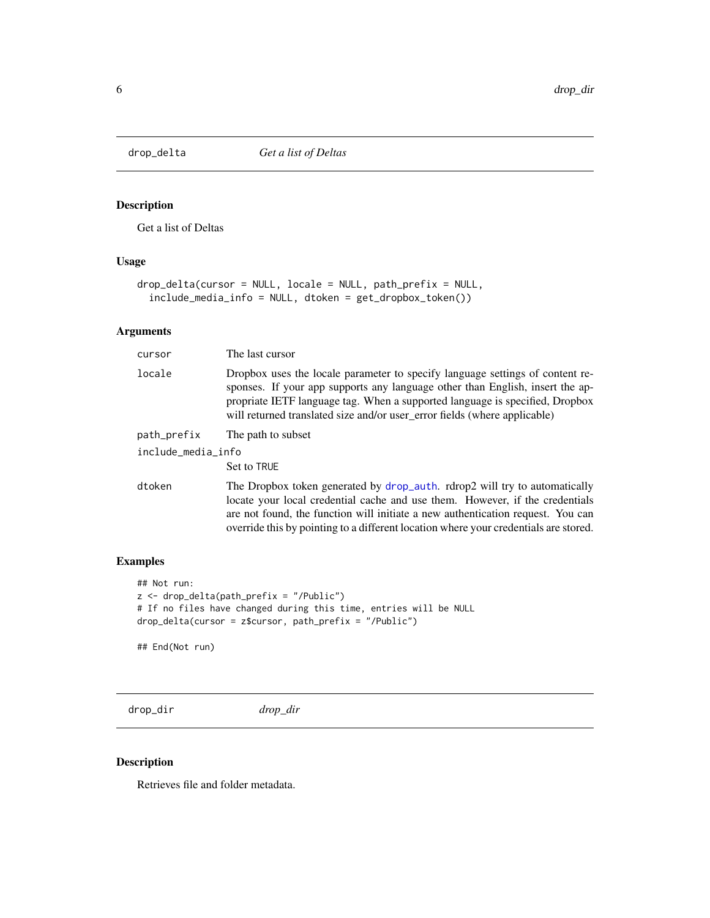<span id="page-5-0"></span>

Get a list of Deltas

# Usage

```
drop_delta(cursor = NULL, locale = NULL, path_prefix = NULL,
  include_media_info = NULL, dtoken = get_dropbox_token())
```
#### Arguments

| cursor             | The last cursor                                                                                                                                                                                                                                                                                                                       |
|--------------------|---------------------------------------------------------------------------------------------------------------------------------------------------------------------------------------------------------------------------------------------------------------------------------------------------------------------------------------|
| locale             | Dropbox uses the locale parameter to specify language settings of content re-<br>sponses. If your app supports any language other than English, insert the ap-<br>propriate IETF language tag. When a supported language is specified, Dropbox<br>will returned translated size and/or user_error fields (where applicable)           |
| path_prefix        | The path to subset                                                                                                                                                                                                                                                                                                                    |
| include_media_info |                                                                                                                                                                                                                                                                                                                                       |
|                    | Set to TRUE                                                                                                                                                                                                                                                                                                                           |
| dtoken             | The Dropbox token generated by drop_auth. rdrop2 will try to automatically<br>locate your local credential cache and use them. However, if the credentials<br>are not found, the function will initiate a new authentication request. You can<br>override this by pointing to a different location where your credentials are stored. |

# Examples

```
## Not run:
z <- drop_delta(path_prefix = "/Public")
# If no files have changed during this time, entries will be NULL
drop_delta(cursor = z$cursor, path_prefix = "/Public")
```
## End(Not run)

drop\_dir *drop\_dir*

#### Description

Retrieves file and folder metadata.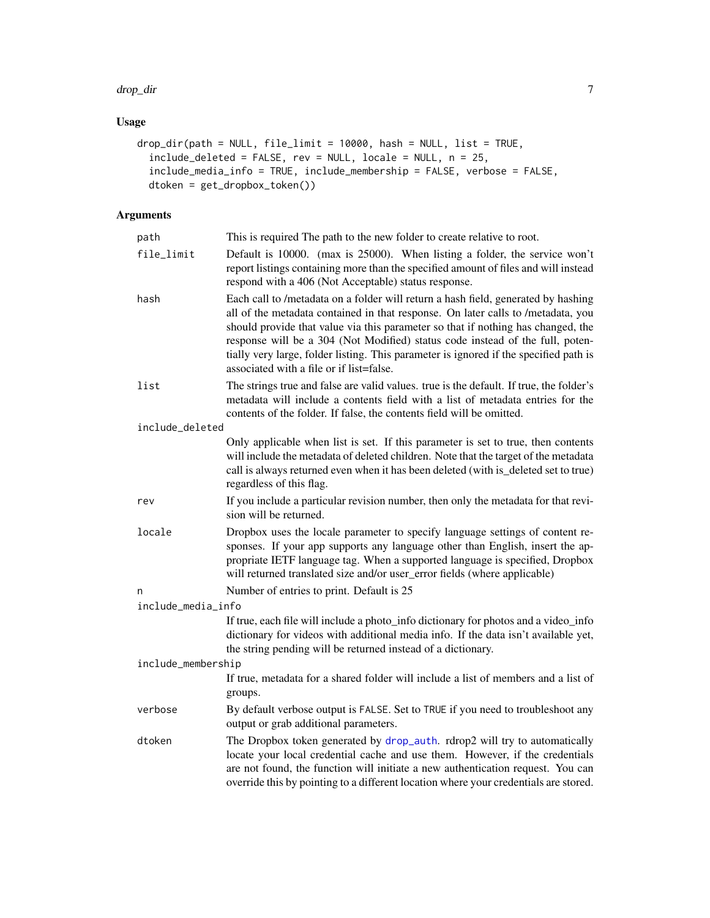#### drop\_dir 7 and 7 and 7 and 7 and 7 and 7 and 7 and 7 and 7 and 7 and 7 and 7 and 7 and 7 and 7 and 7 and 7 and 7 and 7 and 7 and 7 and 7 and 7 and 7 and 7 and 7 and 7 and 7 and 7 and 7 and 7 and 7 and 7 and 7 and 7 and 7 a

# Usage

```
drop_dir(path = NULL, file_limit = 10000, hash = NULL, list = TRUE,
  include_deleted = FALSE, rev = NULL, locale = NULL, n = 25,
  include_media_info = TRUE, include_membership = FALSE, verbose = FALSE,
 dtoken = get_dropbox_token())
```

| path               | This is required The path to the new folder to create relative to root.                                                                                                                                                                                                                                                                                                                                                                                                         |
|--------------------|---------------------------------------------------------------------------------------------------------------------------------------------------------------------------------------------------------------------------------------------------------------------------------------------------------------------------------------------------------------------------------------------------------------------------------------------------------------------------------|
| file_limit         | Default is 10000. (max is 25000). When listing a folder, the service won't<br>report listings containing more than the specified amount of files and will instead<br>respond with a 406 (Not Acceptable) status response.                                                                                                                                                                                                                                                       |
| hash               | Each call to /metadata on a folder will return a hash field, generated by hashing<br>all of the metadata contained in that response. On later calls to /metadata, you<br>should provide that value via this parameter so that if nothing has changed, the<br>response will be a 304 (Not Modified) status code instead of the full, poten-<br>tially very large, folder listing. This parameter is ignored if the specified path is<br>associated with a file or if list=false. |
| list               | The strings true and false are valid values. true is the default. If true, the folder's<br>metadata will include a contents field with a list of metadata entries for the<br>contents of the folder. If false, the contents field will be omitted.                                                                                                                                                                                                                              |
| include_deleted    |                                                                                                                                                                                                                                                                                                                                                                                                                                                                                 |
|                    | Only applicable when list is set. If this parameter is set to true, then contents<br>will include the metadata of deleted children. Note that the target of the metadata<br>call is always returned even when it has been deleted (with is_deleted set to true)<br>regardless of this flag.                                                                                                                                                                                     |
| rev                | If you include a particular revision number, then only the metadata for that revi-<br>sion will be returned.                                                                                                                                                                                                                                                                                                                                                                    |
| locale             | Dropbox uses the locale parameter to specify language settings of content re-<br>sponses. If your app supports any language other than English, insert the ap-<br>propriate IETF language tag. When a supported language is specified, Dropbox<br>will returned translated size and/or user_error fields (where applicable)                                                                                                                                                     |
| n                  | Number of entries to print. Default is 25                                                                                                                                                                                                                                                                                                                                                                                                                                       |
| include_media_info |                                                                                                                                                                                                                                                                                                                                                                                                                                                                                 |
|                    | If true, each file will include a photo_info dictionary for photos and a video_info<br>dictionary for videos with additional media info. If the data isn't available yet,<br>the string pending will be returned instead of a dictionary.                                                                                                                                                                                                                                       |
| include_membership |                                                                                                                                                                                                                                                                                                                                                                                                                                                                                 |
|                    | If true, metadata for a shared folder will include a list of members and a list of<br>groups.                                                                                                                                                                                                                                                                                                                                                                                   |
| verbose            | By default verbose output is FALSE. Set to TRUE if you need to troubleshoot any<br>output or grab additional parameters.                                                                                                                                                                                                                                                                                                                                                        |
| dtoken             | The Dropbox token generated by drop_auth. rdrop2 will try to automatically<br>locate your local credential cache and use them. However, if the credentials<br>are not found, the function will initiate a new authentication request. You can<br>override this by pointing to a different location where your credentials are stored.                                                                                                                                           |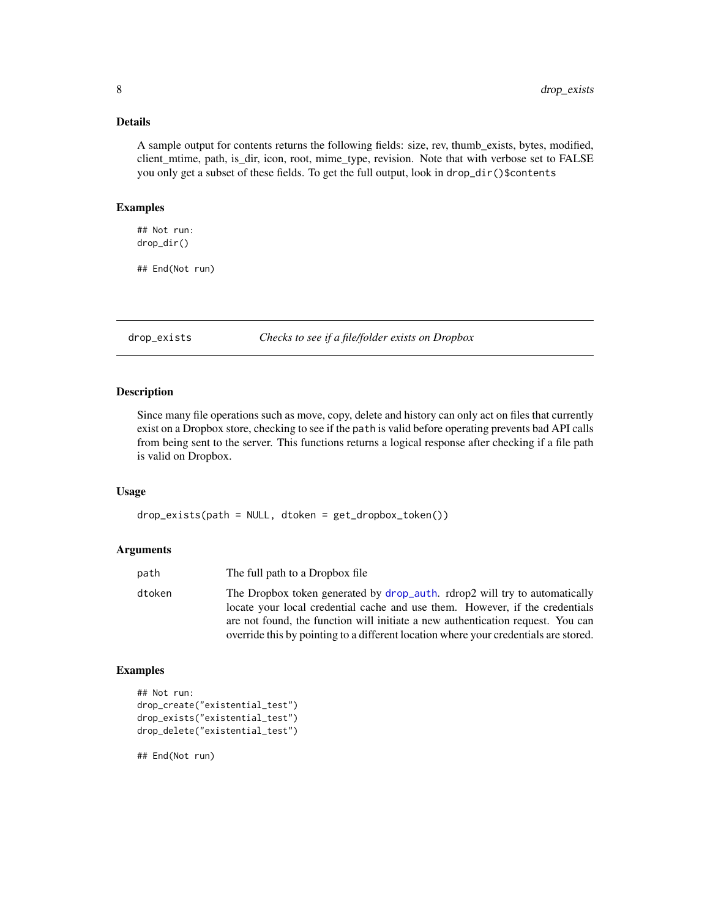#### <span id="page-7-0"></span>Details

A sample output for contents returns the following fields: size, rev, thumb\_exists, bytes, modified, client\_mtime, path, is\_dir, icon, root, mime\_type, revision. Note that with verbose set to FALSE you only get a subset of these fields. To get the full output, look in drop\_dir()\$contents

#### Examples

## Not run: drop\_dir()

## End(Not run)

drop\_exists *Checks to see if a file/folder exists on Dropbox*

#### Description

Since many file operations such as move, copy, delete and history can only act on files that currently exist on a Dropbox store, checking to see if the path is valid before operating prevents bad API calls from being sent to the server. This functions returns a logical response after checking if a file path is valid on Dropbox.

#### Usage

drop\_exists(path = NULL, dtoken = get\_dropbox\_token())

#### Arguments

| The Dropbox token generated by drop_auth. rdrop2 will try to automatically<br>dtoken<br>locate your local credential cache and use them. However, if the credentials<br>are not found, the function will initiate a new authentication request. You can<br>override this by pointing to a different location where your credentials are stored. |  |
|-------------------------------------------------------------------------------------------------------------------------------------------------------------------------------------------------------------------------------------------------------------------------------------------------------------------------------------------------|--|

#### Examples

```
## Not run:
drop_create("existential_test")
drop_exists("existential_test")
drop_delete("existential_test")
```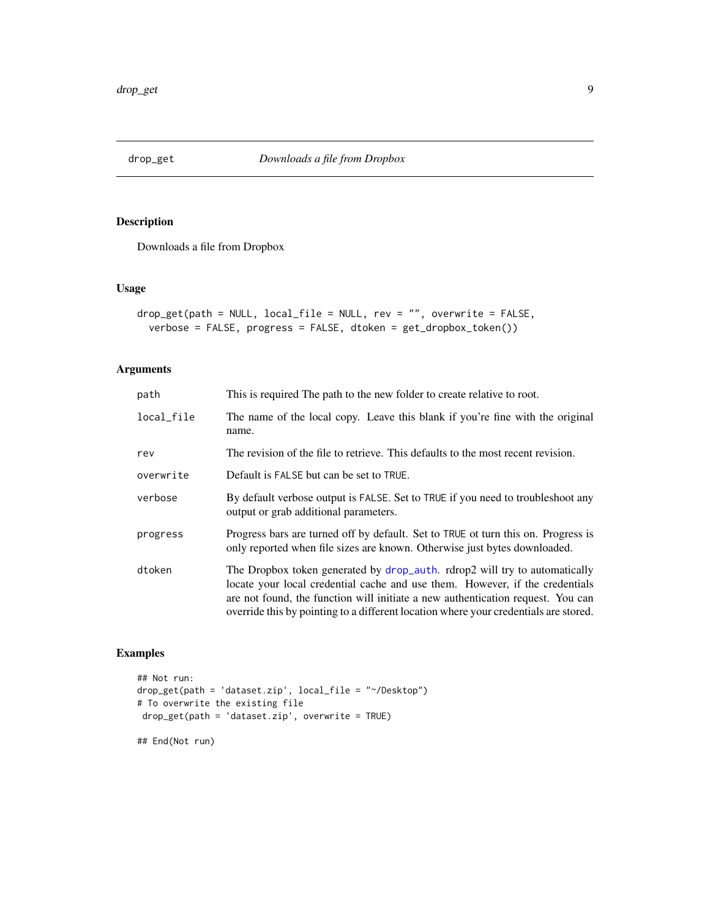<span id="page-8-0"></span>

Downloads a file from Dropbox

#### Usage

```
drop_get(path = NULL, local_file = NULL, rev = "", overwrite = FALSE,
 verbose = FALSE, progress = FALSE, dtoken = get_dropbox_token())
```
#### Arguments

| path       | This is required The path to the new folder to create relative to root.                                                                                                                                                                                                                                                               |
|------------|---------------------------------------------------------------------------------------------------------------------------------------------------------------------------------------------------------------------------------------------------------------------------------------------------------------------------------------|
| local_file | The name of the local copy. Leave this blank if you're fine with the original<br>name.                                                                                                                                                                                                                                                |
| rev        | The revision of the file to retrieve. This defaults to the most recent revision.                                                                                                                                                                                                                                                      |
| overwrite  | Default is FALSE but can be set to TRUE.                                                                                                                                                                                                                                                                                              |
| verbose    | By default verbose output is FALSE. Set to TRUE if you need to troubleshoot any<br>output or grab additional parameters.                                                                                                                                                                                                              |
| progress   | Progress bars are turned off by default. Set to TRUE of turn this on. Progress is<br>only reported when file sizes are known. Otherwise just bytes downloaded.                                                                                                                                                                        |
| dtoken     | The Dropbox token generated by drop_auth. rdrop2 will try to automatically<br>locate your local credential cache and use them. However, if the credentials<br>are not found, the function will initiate a new authentication request. You can<br>override this by pointing to a different location where your credentials are stored. |

#### Examples

```
## Not run:
drop_get(path = 'dataset.zip', local_file = "~/Desktop")
# To overwrite the existing file
drop_get(path = 'dataset.zip', overwrite = TRUE)
## End(Not run)
```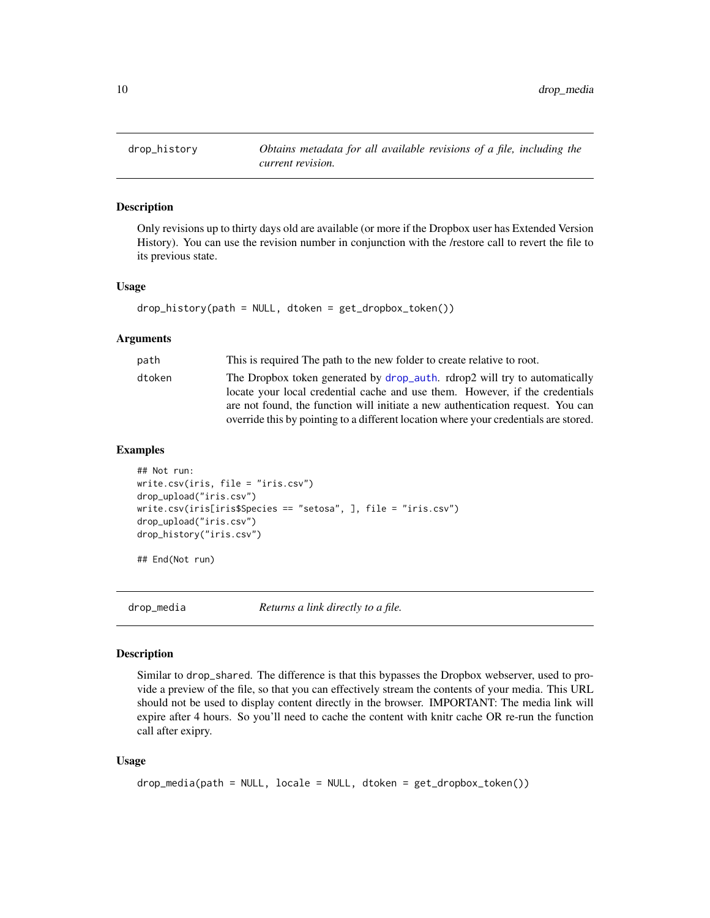<span id="page-9-0"></span>

Only revisions up to thirty days old are available (or more if the Dropbox user has Extended Version History). You can use the revision number in conjunction with the /restore call to revert the file to its previous state.

#### Usage

```
drop_history(path = NULL, dtoken = get_dropbox_token())
```
#### Arguments

| path   | This is required The path to the new folder to create relative to root.                                                                                    |
|--------|------------------------------------------------------------------------------------------------------------------------------------------------------------|
| dtoken | The Dropbox token generated by drop_auth. rdrop2 will try to automatically<br>locate your local credential cache and use them. However, if the credentials |
|        | are not found, the function will initiate a new authentication request. You can                                                                            |
|        | override this by pointing to a different location where your credentials are stored.                                                                       |

#### Examples

```
## Not run:
write.csv(iris, file = "iris.csv")
drop_upload("iris.csv")
write.csv(iris[iris$Species == "setosa", ], file = "iris.csv")
drop_upload("iris.csv")
drop_history("iris.csv")
```
## End(Not run)

drop\_media *Returns a link directly to a file.*

#### Description

Similar to drop\_shared. The difference is that this bypasses the Dropbox webserver, used to provide a preview of the file, so that you can effectively stream the contents of your media. This URL should not be used to display content directly in the browser. IMPORTANT: The media link will expire after 4 hours. So you'll need to cache the content with knitr cache OR re-run the function call after exipry.

#### Usage

```
drop_media(path = NULL, locale = NULL, dtoken = get_dropbox_token())
```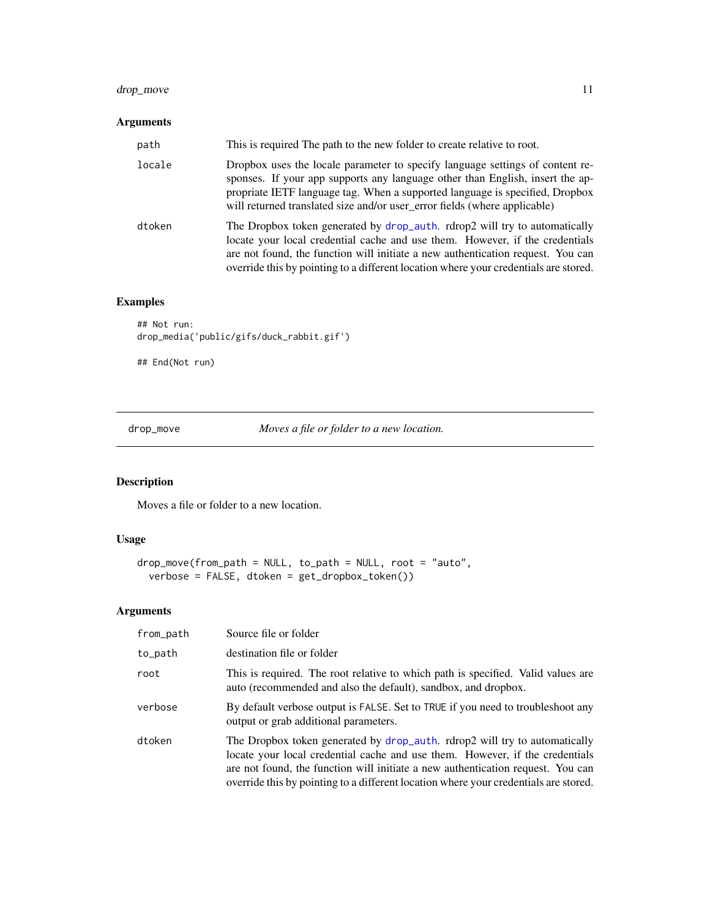# <span id="page-10-0"></span>drop\_move 11

#### Arguments

| path   | This is required The path to the new folder to create relative to root.                                                                                                                                                                                                                                                               |
|--------|---------------------------------------------------------------------------------------------------------------------------------------------------------------------------------------------------------------------------------------------------------------------------------------------------------------------------------------|
| locale | Dropbox uses the locale parameter to specify language settings of content re-<br>sponses. If your app supports any language other than English, insert the ap-<br>propriate IETF language tag. When a supported language is specified, Dropbox<br>will returned translated size and/or user_error fields (where applicable)           |
| dtoken | The Dropbox token generated by drop_auth. rdrop2 will try to automatically<br>locate your local credential cache and use them. However, if the credentials<br>are not found, the function will initiate a new authentication request. You can<br>override this by pointing to a different location where your credentials are stored. |

# Examples

```
## Not run:
drop_media('public/gifs/duck_rabbit.gif')
```
## End(Not run)

drop\_move *Moves a file or folder to a new location.*

# Description

Moves a file or folder to a new location.

#### Usage

```
drop_move(from_path = NULL, to_path = NULL, root = "auto",
 verbose = FALSE, dtoken = get_dropbox_token())
```

| from_path | Source file or folder                                                                                                                                                                                                                                                                                                                 |
|-----------|---------------------------------------------------------------------------------------------------------------------------------------------------------------------------------------------------------------------------------------------------------------------------------------------------------------------------------------|
| to_path   | destination file or folder                                                                                                                                                                                                                                                                                                            |
| root      | This is required. The root relative to which path is specified. Valid values are<br>auto (recommended and also the default), sandbox, and dropbox.                                                                                                                                                                                    |
| verbose   | By default verbose output is FALSE. Set to TRUE if you need to troubleshoot any<br>output or grab additional parameters.                                                                                                                                                                                                              |
| dtoken    | The Dropbox token generated by drop_auth. rdrop2 will try to automatically<br>locate your local credential cache and use them. However, if the credentials<br>are not found, the function will initiate a new authentication request. You can<br>override this by pointing to a different location where your credentials are stored. |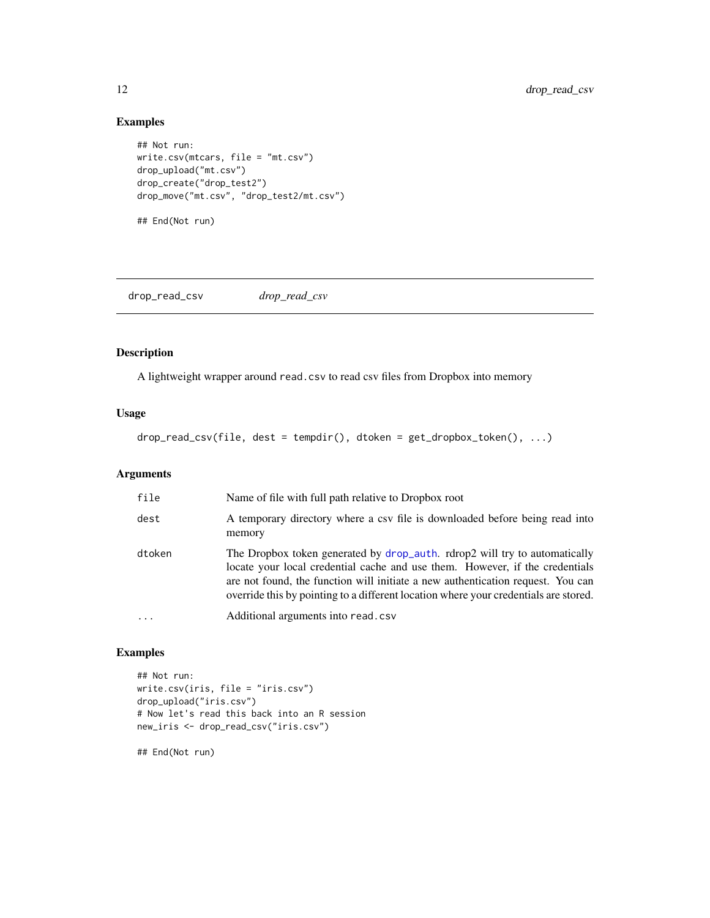#### Examples

```
## Not run:
write.csv(mtcars, file = "mt.csv")
drop_upload("mt.csv")
drop_create("drop_test2")
drop_move("mt.csv", "drop_test2/mt.csv")
## End(Not run)
```
drop\_read\_csv *drop\_read\_csv*

#### Description

A lightweight wrapper around read.csv to read csv files from Dropbox into memory

#### Usage

drop\_read\_csv(file, dest = tempdir(), dtoken = get\_dropbox\_token(), ...)

#### Arguments

| file   | Name of file with full path relative to Dropbox root                                                                                                                                                                                                                                                                                  |
|--------|---------------------------------------------------------------------------------------------------------------------------------------------------------------------------------------------------------------------------------------------------------------------------------------------------------------------------------------|
| dest   | A temporary directory where a csv file is downloaded before being read into<br>memory                                                                                                                                                                                                                                                 |
| dtoken | The Dropbox token generated by drop_auth. rdrop2 will try to automatically<br>locate your local credential cache and use them. However, if the credentials<br>are not found, the function will initiate a new authentication request. You can<br>override this by pointing to a different location where your credentials are stored. |
| .      | Additional arguments into read.csv                                                                                                                                                                                                                                                                                                    |

#### Examples

```
## Not run:
write.csv(iris, file = "iris.csv")
drop_upload("iris.csv")
# Now let's read this back into an R session
new_iris <- drop_read_csv("iris.csv")
```
<span id="page-11-0"></span>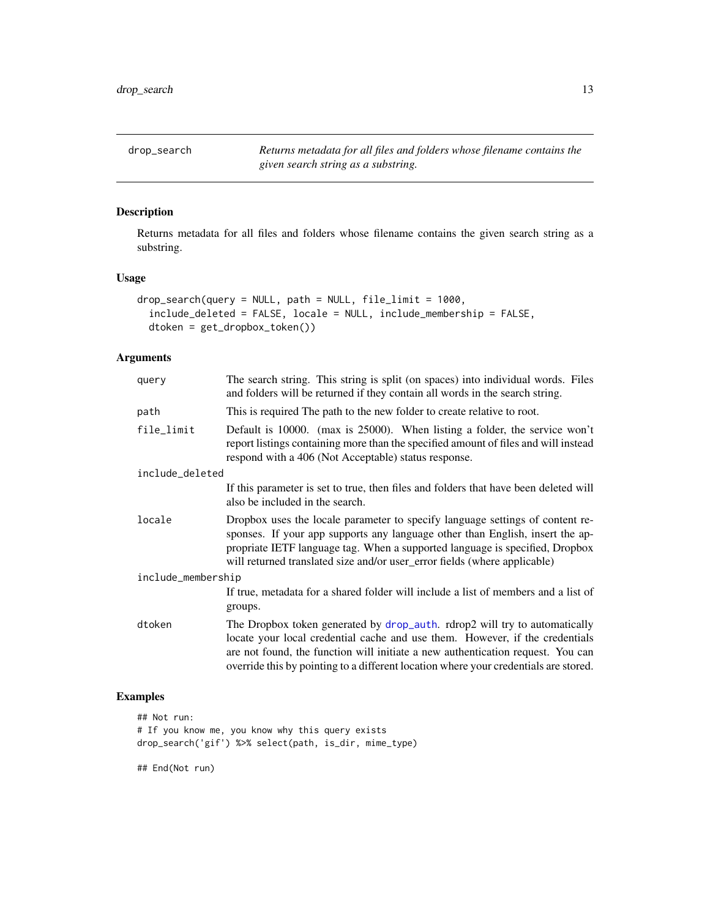<span id="page-12-0"></span>drop\_search *Returns metadata for all files and folders whose filename contains the given search string as a substring.*

### Description

Returns metadata for all files and folders whose filename contains the given search string as a substring.

#### Usage

```
drop_search(query = NULL, path = NULL, file_limit = 1000,
  include_deleted = FALSE, locale = NULL, include_membership = FALSE,
  dtoken = get_dropbox_token())
```
#### Arguments

| query              | The search string. This string is split (on spaces) into individual words. Files<br>and folders will be returned if they contain all words in the search string.                                                                                                                                                                      |
|--------------------|---------------------------------------------------------------------------------------------------------------------------------------------------------------------------------------------------------------------------------------------------------------------------------------------------------------------------------------|
| path               | This is required The path to the new folder to create relative to root.                                                                                                                                                                                                                                                               |
| file_limit         | Default is 10000. (max is 25000). When listing a folder, the service won't<br>report listings containing more than the specified amount of files and will instead<br>respond with a 406 (Not Acceptable) status response.                                                                                                             |
| include_deleted    |                                                                                                                                                                                                                                                                                                                                       |
|                    | If this parameter is set to true, then files and folders that have been deleted will<br>also be included in the search.                                                                                                                                                                                                               |
| locale             | Dropbox uses the locale parameter to specify language settings of content re-<br>sponses. If your app supports any language other than English, insert the ap-<br>propriate IETF language tag. When a supported language is specified, Dropbox<br>will returned translated size and/or user_error fields (where applicable)           |
| include_membership |                                                                                                                                                                                                                                                                                                                                       |
|                    | If true, metadata for a shared folder will include a list of members and a list of<br>groups.                                                                                                                                                                                                                                         |
| dtoken             | The Dropbox token generated by drop_auth. rdrop2 will try to automatically<br>locate your local credential cache and use them. However, if the credentials<br>are not found, the function will initiate a new authentication request. You can<br>override this by pointing to a different location where your credentials are stored. |

# Examples

```
## Not run:
# If you know me, you know why this query exists
drop_search('gif') %>% select(path, is_dir, mime_type)
```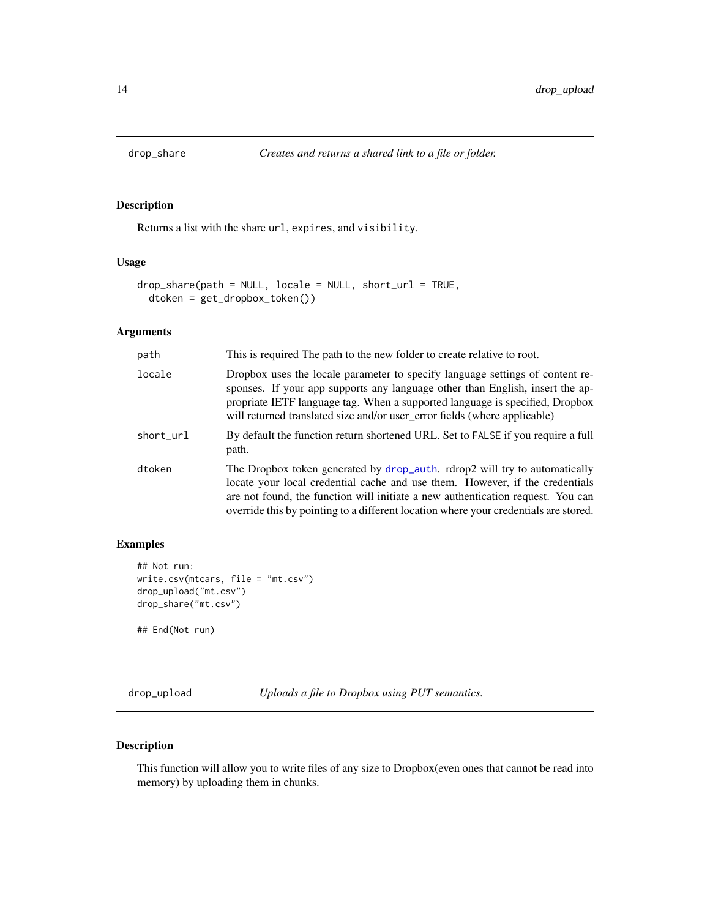<span id="page-13-0"></span>

Returns a list with the share url, expires, and visibility.

#### Usage

```
drop_share(path = NULL, locale = NULL, short_url = TRUE,
 dtoken = get_dropbox_token())
```
#### Arguments

| path      | This is required The path to the new folder to create relative to root.                                                                                                                                                                                                                                                               |
|-----------|---------------------------------------------------------------------------------------------------------------------------------------------------------------------------------------------------------------------------------------------------------------------------------------------------------------------------------------|
| locale    | Dropbox uses the locale parameter to specify language settings of content re-<br>sponses. If your app supports any language other than English, insert the ap-<br>propriate IETF language tag. When a supported language is specified, Dropbox<br>will returned translated size and/or user_error fields (where applicable)           |
| short_url | By default the function return shortened URL. Set to FALSE if you require a full<br>path.                                                                                                                                                                                                                                             |
| dtoken    | The Dropbox token generated by drop_auth. rdrop2 will try to automatically<br>locate your local credential cache and use them. However, if the credentials<br>are not found, the function will initiate a new authentication request. You can<br>override this by pointing to a different location where your credentials are stored. |

#### Examples

```
## Not run:
write.csv(mtcars, file = "mt.csv")
drop_upload("mt.csv")
drop_share("mt.csv")
```
## End(Not run)

drop\_upload *Uploads a file to Dropbox using PUT semantics.*

# Description

This function will allow you to write files of any size to Dropbox(even ones that cannot be read into memory) by uploading them in chunks.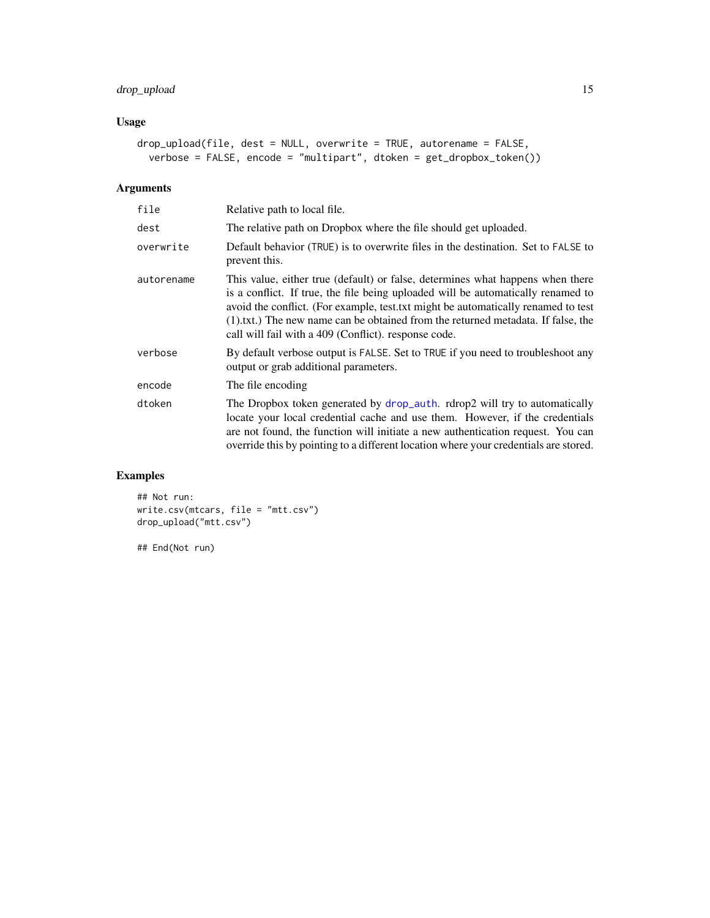# <span id="page-14-0"></span>drop\_upload 15

# Usage

```
drop_upload(file, dest = NULL, overwrite = TRUE, autorename = FALSE,
 verbose = FALSE, encode = "multipart", dtoken = get_dropbox_token())
```
#### Arguments

| file       | Relative path to local file.                                                                                                                                                                                                                                                                                                                                                                         |
|------------|------------------------------------------------------------------------------------------------------------------------------------------------------------------------------------------------------------------------------------------------------------------------------------------------------------------------------------------------------------------------------------------------------|
| dest       | The relative path on Dropbox where the file should get uploaded.                                                                                                                                                                                                                                                                                                                                     |
| overwrite  | Default behavior (TRUE) is to overwrite files in the destination. Set to FALSE to<br>prevent this.                                                                                                                                                                                                                                                                                                   |
| autorename | This value, either true (default) or false, determines what happens when there<br>is a conflict. If true, the file being uploaded will be automatically renamed to<br>avoid the conflict. (For example, test, txt might be automatically renamed to test<br>(1).txt.) The new name can be obtained from the returned metadata. If false, the<br>call will fail with a 409 (Conflict). response code. |
| verbose    | By default verbose output is FALSE. Set to TRUE if you need to troubleshoot any<br>output or grab additional parameters.                                                                                                                                                                                                                                                                             |
| encode     | The file encoding                                                                                                                                                                                                                                                                                                                                                                                    |
| dtoken     | The Dropbox token generated by drop_auth. rdrop2 will try to automatically<br>locate your local credential cache and use them. However, if the credentials<br>are not found, the function will initiate a new authentication request. You can<br>override this by pointing to a different location where your credentials are stored.                                                                |

# Examples

```
## Not run:
write.csv(mtcars, file = "mtt.csv")
drop_upload("mtt.csv")
```